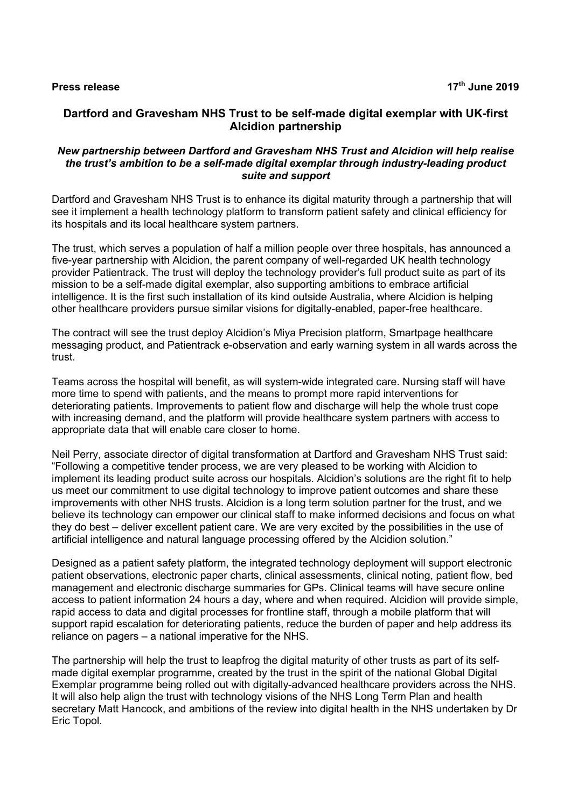# **Dartford and Gravesham NHS Trust to be self-made digital exemplar with UK-first Alcidion partnership**

### *New partnership between Dartford and Gravesham NHS Trust and Alcidion will help realise the trust's ambition to be a self-made digital exemplar through industry-leading product suite and support*

Dartford and Gravesham NHS Trust is to enhance its digital maturity through a partnership that will see it implement a health technology platform to transform patient safety and clinical efficiency for its hospitals and its local healthcare system partners.

The trust, which serves a population of half a million people over three hospitals, has announced a five-year partnership with Alcidion, the parent company of well-regarded UK health technology provider Patientrack. The trust will deploy the technology provider's full product suite as part of its mission to be a self-made digital exemplar, also supporting ambitions to embrace artificial intelligence. It is the first such installation of its kind outside Australia, where Alcidion is helping other healthcare providers pursue similar visions for digitally-enabled, paper-free healthcare.

The contract will see the trust deploy Alcidion's Miya Precision platform, Smartpage healthcare messaging product, and Patientrack e-observation and early warning system in all wards across the trust.

Teams across the hospital will benefit, as will system-wide integrated care. Nursing staff will have more time to spend with patients, and the means to prompt more rapid interventions for deteriorating patients. Improvements to patient flow and discharge will help the whole trust cope with increasing demand, and the platform will provide healthcare system partners with access to appropriate data that will enable care closer to home.

Neil Perry, associate director of digital transformation at Dartford and Gravesham NHS Trust said: "Following a competitive tender process, we are very pleased to be working with Alcidion to implement its leading product suite across our hospitals. Alcidion's solutions are the right fit to help us meet our commitment to use digital technology to improve patient outcomes and share these improvements with other NHS trusts. Alcidion is a long term solution partner for the trust, and we believe its technology can empower our clinical staff to make informed decisions and focus on what they do best – deliver excellent patient care. We are very excited by the possibilities in the use of artificial intelligence and natural language processing offered by the Alcidion solution."

Designed as a patient safety platform, the integrated technology deployment will support electronic patient observations, electronic paper charts, clinical assessments, clinical noting, patient flow, bed management and electronic discharge summaries for GPs. Clinical teams will have secure online access to patient information 24 hours a day, where and when required. Alcidion will provide simple, rapid access to data and digital processes for frontline staff, through a mobile platform that will support rapid escalation for deteriorating patients, reduce the burden of paper and help address its reliance on pagers – a national imperative for the NHS.

The partnership will help the trust to leapfrog the digital maturity of other trusts as part of its selfmade digital exemplar programme, created by the trust in the spirit of the national Global Digital Exemplar programme being rolled out with digitally-advanced healthcare providers across the NHS. It will also help align the trust with technology visions of the NHS Long Term Plan and health secretary Matt Hancock, and ambitions of the review into digital health in the NHS undertaken by Dr Eric Topol.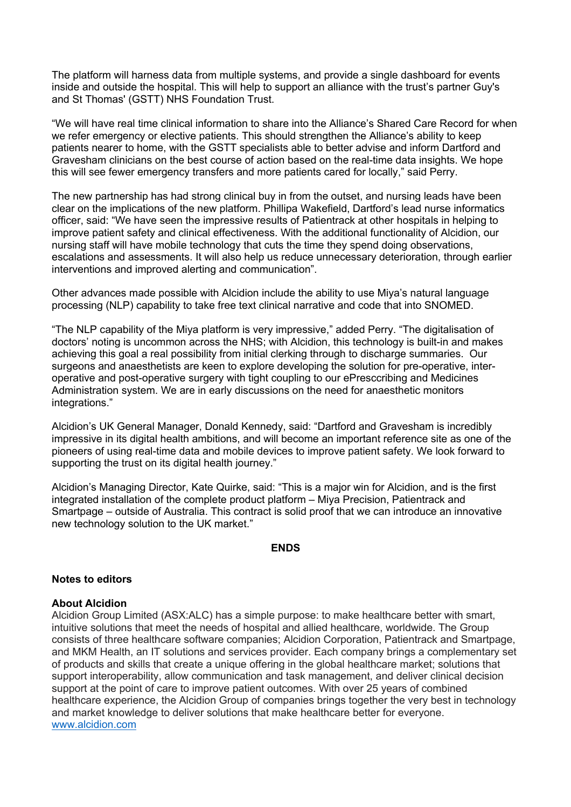The platform will harness data from multiple systems, and provide a single dashboard for events inside and outside the hospital. This will help to support an alliance with the trust's partner Guy's and St Thomas' (GSTT) NHS Foundation Trust.

"We will have real time clinical information to share into the Alliance's Shared Care Record for when we refer emergency or elective patients. This should strengthen the Alliance's ability to keep patients nearer to home, with the GSTT specialists able to better advise and inform Dartford and Gravesham clinicians on the best course of action based on the real-time data insights. We hope this will see fewer emergency transfers and more patients cared for locally," said Perry.

The new partnership has had strong clinical buy in from the outset, and nursing leads have been clear on the implications of the new platform. Phillipa Wakefield, Dartford's lead nurse informatics officer, said: "We have seen the impressive results of Patientrack at other hospitals in helping to improve patient safety and clinical effectiveness. With the additional functionality of Alcidion, our nursing staff will have mobile technology that cuts the time they spend doing observations, escalations and assessments. It will also help us reduce unnecessary deterioration, through earlier interventions and improved alerting and communication".

Other advances made possible with Alcidion include the ability to use Miya's natural language processing (NLP) capability to take free text clinical narrative and code that into SNOMED.

"The NLP capability of the Miya platform is very impressive," added Perry. "The digitalisation of doctors' noting is uncommon across the NHS; with Alcidion, this technology is built-in and makes achieving this goal a real possibility from initial clerking through to discharge summaries. Our surgeons and anaesthetists are keen to explore developing the solution for pre-operative, interoperative and post-operative surgery with tight coupling to our ePresccribing and Medicines Administration system. We are in early discussions on the need for anaesthetic monitors integrations."

Alcidion's UK General Manager, Donald Kennedy, said: "Dartford and Gravesham is incredibly impressive in its digital health ambitions, and will become an important reference site as one of the pioneers of using real-time data and mobile devices to improve patient safety. We look forward to supporting the trust on its digital health journey."

Alcidion's Managing Director, Kate Quirke, said: "This is a major win for Alcidion, and is the first integrated installation of the complete product platform – Miya Precision, Patientrack and Smartpage – outside of Australia. This contract is solid proof that we can introduce an innovative new technology solution to the UK market."

### **ENDS**

## **Notes to editors**

### **About Alcidion**

Alcidion Group Limited (ASX:ALC) has a simple purpose: to make healthcare better with smart, intuitive solutions that meet the needs of hospital and allied healthcare, worldwide. The Group consists of three healthcare software companies; Alcidion Corporation, Patientrack and Smartpage, and MKM Health, an IT solutions and services provider. Each company brings a complementary set of products and skills that create a unique offering in the global healthcare market; solutions that support interoperability, allow communication and task management, and deliver clinical decision support at the point of care to improve patient outcomes. With over 25 years of combined healthcare experience, the Alcidion Group of companies brings together the very best in technology and market knowledge to deliver solutions that make healthcare better for everyone. www.alcidion.com